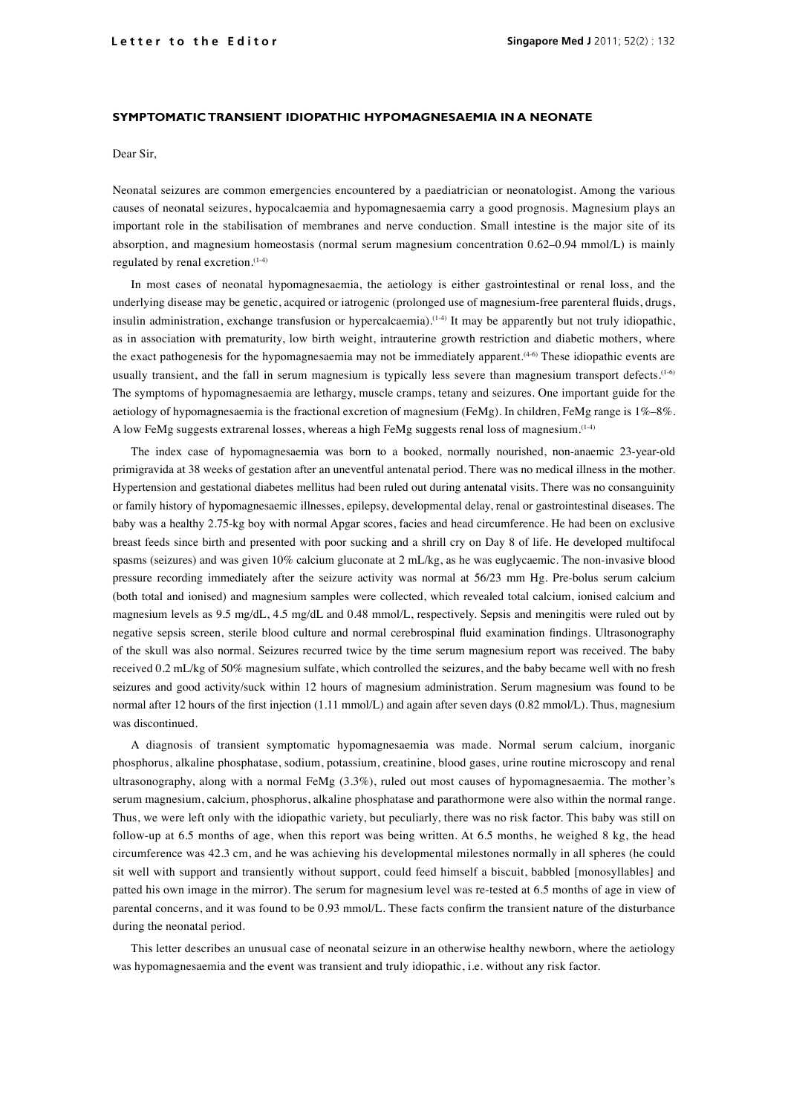## **SYMPTOMATIC TRANSIENT IDIOPATHIC HYPOMAGNESAEMIA IN A NEONATE**

Dear Sir,

Neonatal seizures are common emergencies encountered by a paediatrician or neonatologist. Among the various causes of neonatal seizures, hypocalcaemia and hypomagnesaemia carry a good prognosis. Magnesium plays an important role in the stabilisation of membranes and nerve conduction. Small intestine is the major site of its absorption, and magnesium homeostasis (normal serum magnesium concentration 0.62–0.94 mmol/L) is mainly regulated by renal excretion.(1-4)

In most cases of neonatal hypomagnesaemia, the aetiology is either gastrointestinal or renal loss, and the underlying disease may be genetic, acquired or iatrogenic (prolonged use of magnesium-free parenteral fluids, drugs, insulin administration, exchange transfusion or hypercalcaemia).<sup>(1-4)</sup> It may be apparently but not truly idiopathic, as in association with prematurity, low birth weight, intrauterine growth restriction and diabetic mothers, where the exact pathogenesis for the hypomagnesaemia may not be immediately apparent.(4-6) These idiopathic events are usually transient, and the fall in serum magnesium is typically less severe than magnesium transport defects.<sup>(1-6)</sup> The symptoms of hypomagnesaemia are lethargy, muscle cramps, tetany and seizures. One important guide for the aetiology of hypomagnesaemia is the fractional excretion of magnesium (FeMg). In children, FeMg range is 1%–8%. A low FeMg suggests extrarenal losses, whereas a high FeMg suggests renal loss of magnesium.(1-4)

The index case of hypomagnesaemia was born to a booked, normally nourished, non-anaemic 23-year-old primigravida at 38 weeks of gestation after an uneventful antenatal period. There was no medical illness in the mother. Hypertension and gestational diabetes mellitus had been ruled out during antenatal visits. There was no consanguinity or family history of hypomagnesaemic illnesses, epilepsy, developmental delay, renal or gastrointestinal diseases. The baby was a healthy 2.75-kg boy with normal Apgar scores, facies and head circumference. He had been on exclusive breast feeds since birth and presented with poor sucking and a shrill cry on Day 8 of life. He developed multifocal spasms (seizures) and was given 10% calcium gluconate at 2 mL/kg, as he was euglycaemic. The non-invasive blood pressure recording immediately after the seizure activity was normal at 56/23 mm Hg. Pre-bolus serum calcium (both total and ionised) and magnesium samples were collected, which revealed total calcium, ionised calcium and magnesium levels as 9.5 mg/dL, 4.5 mg/dL and 0.48 mmol/L, respectively. Sepsis and meningitis were ruled out by negative sepsis screen, sterile blood culture and normal cerebrospinal fluid examination findings. Ultrasonography of the skull was also normal. Seizures recurred twice by the time serum magnesium report was received. The baby received 0.2 mL/kg of 50% magnesium sulfate, which controlled the seizures, and the baby became well with no fresh seizures and good activity/suck within 12 hours of magnesium administration. Serum magnesium was found to be normal after 12 hours of the first injection (1.11 mmol/L) and again after seven days (0.82 mmol/L). Thus, magnesium was discontinued.

A diagnosis of transient symptomatic hypomagnesaemia was made. Normal serum calcium, inorganic phosphorus, alkaline phosphatase, sodium, potassium, creatinine, blood gases, urine routine microscopy and renal ultrasonography, along with a normal FeMg (3.3%), ruled out most causes of hypomagnesaemia. The mother's serum magnesium, calcium, phosphorus, alkaline phosphatase and parathormone were also within the normal range. Thus, we were left only with the idiopathic variety, but peculiarly, there was no risk factor. This baby was still on follow-up at 6.5 months of age, when this report was being written. At 6.5 months, he weighed 8 kg, the head circumference was 42.3 cm, and he was achieving his developmental milestones normally in all spheres (he could sit well with support and transiently without support, could feed himself a biscuit, babbled [monosyllables] and patted his own image in the mirror). The serum for magnesium level was re-tested at 6.5 months of age in view of parental concerns, and it was found to be 0.93 mmol/L. These facts confirm the transient nature of the disturbance during the neonatal period.

This letter describes an unusual case of neonatal seizure in an otherwise healthy newborn, where the aetiology was hypomagnesaemia and the event was transient and truly idiopathic, i.e. without any risk factor.